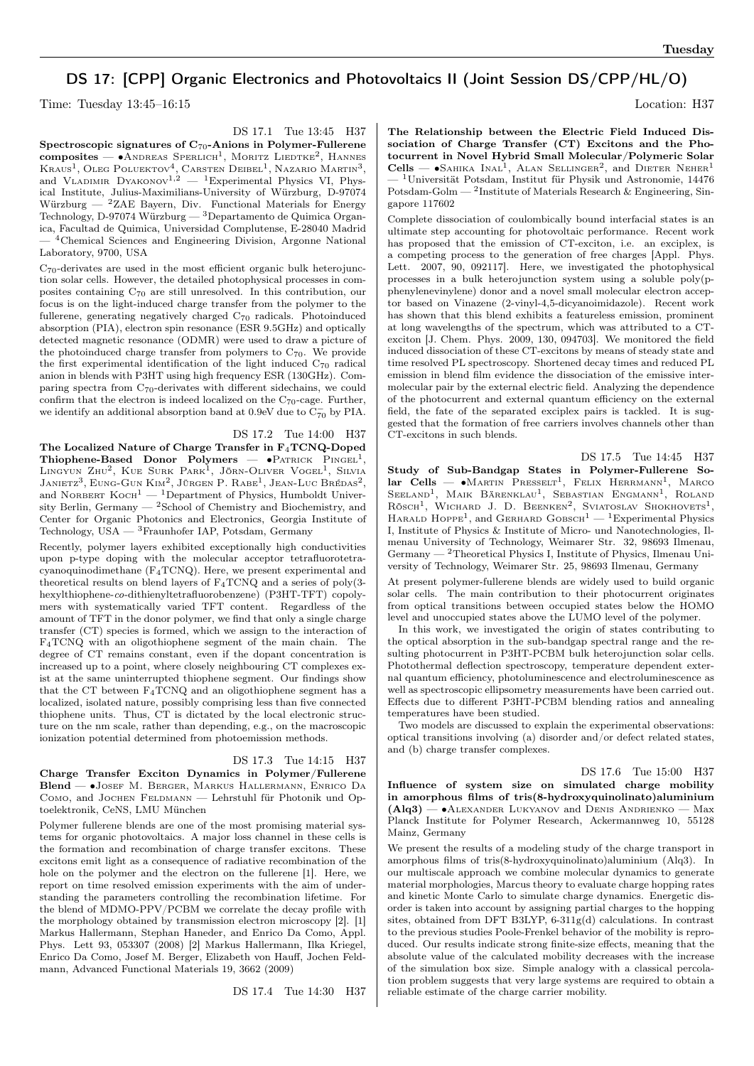## DS 17: [CPP] Organic Electronics and Photovoltaics II (Joint Session DS/CPP/HL/O)

Time: Tuesday  $13:45-16:15$  Location: H37

DS 17.1 Tue 13:45 H37

Spectroscopic signatures of C70-Anions in Polymer-Fullerene  $\text{composite} = \bullet$ Andreas Sperlich<sup>1</sup>, Moritz Liedtke<sup>2</sup>, Hannes Kraus<sup>1</sup>, Oleg Poluektov<sup>4</sup>, Carsten Deibel<sup>1</sup>, Nazario Martin<sup>3</sup>, and VLADIMIR  $DyAXONOV<sup>1,2</sup> = <sup>1</sup>Experimental Physics VI, Phys$ ical Institute, Julius-Maximilians-University of Würzburg, D-97074 Würzburg — <sup>2</sup>ZAE Bayern, Div. Functional Materials for Energy Technology, D-97074 Würzburg —  $^3$ Departamento de Quimica Organica, Facultad de Quimica, Universidad Complutense, E-28040 Madrid — <sup>4</sup>Chemical Sciences and Engineering Division, Argonne National Laboratory, 9700, USA

C70-derivates are used in the most efficient organic bulk heterojunction solar cells. However, the detailed photophysical processes in composites containing C<sup>70</sup> are still unresolved. In this contribution, our focus is on the light-induced charge transfer from the polymer to the fullerene, generating negatively charged C<sup>70</sup> radicals. Photoinduced absorption (PIA), electron spin resonance (ESR 9.5GHz) and optically detected magnetic resonance (ODMR) were used to draw a picture of the photoinduced charge transfer from polymers to  $C_{70}$ . We provide the first experimental identification of the light induced  $C_{70}$  radical anion in blends with P3HT using high frequency ESR (130GHz). Comparing spectra from C70-derivates with different sidechains, we could confirm that the electron is indeed localized on the  $C_{70}$ -cage. Further, we identify an additional absorption band at 0.9eV due to  $\overline{C_{70}}$  by PIA.

DS 17.2 Tue 14:00 H37 The Localized Nature of Charge Transfer in F4TCNQ-Doped Thiophene-Based Donor Polymers —  $\bullet$ PATRICK PINGEL<sup>1</sup>, Lingyun Zhu<sup>2</sup>, Kue Surk Park<sup>1</sup>, Jörn-Oliver Vogel<sup>1</sup>, Silvia Janietz<sup>3</sup>, Eung-Gun Kim<sup>2</sup>, Jürgen P. Rabe<sup>1</sup>, Jean-Luc Brédas<sup>2</sup>, and NORBERT  $KocH<sup>1</sup>$  — <sup>1</sup>Department of Physics, Humboldt University Berlin, Germany  $^{2}$ School of Chemistry and Biochemistry, and Center for Organic Photonics and Electronics, Georgia Institute of Technology, USA — <sup>3</sup>Fraunhofer IAP, Potsdam, Germany

Recently, polymer layers exhibited exceptionally high conductivities upon p-type doping with the molecular acceptor tetrafluorotetracyanoquinodimethane (F4TCNQ). Here, we present experimental and theoretical results on blend layers of  $F_4TCNQ$  and a series of poly(3hexylthiophene-co-dithienyltetrafluorobenzene) (P3HT-TFT) copolymers with systematically varied TFT content. Regardless of the amount of TFT in the donor polymer, we find that only a single charge transfer (CT) species is formed, which we assign to the interaction of F4TCNQ with an oligothiophene segment of the main chain. The degree of CT remains constant, even if the dopant concentration is increased up to a point, where closely neighbouring CT complexes exist at the same uninterrupted thiophene segment. Our findings show that the CT between  $F_4$ TCNQ and an oligothiophene segment has a localized, isolated nature, possibly comprising less than five connected thiophene units. Thus, CT is dictated by the local electronic structure on the nm scale, rather than depending, e.g., on the macroscopic ionization potential determined from photoemission methods.

## DS 17.3 Tue 14:15 H37

Charge Transfer Exciton Dynamics in Polymer/Fullerene Blend — ∙Josef M. Berger, Markus Hallermann, Enrico Da COMO, and JOCHEN FELDMANN — Lehrstuhl für Photonik und Optoelektronik, CeNS, LMU München

Polymer fullerene blends are one of the most promising material systems for organic photovoltaics. A major loss channel in these cells is the formation and recombination of charge transfer excitons. These excitons emit light as a consequence of radiative recombination of the hole on the polymer and the electron on the fullerene [1]. Here, we report on time resolved emission experiments with the aim of understanding the parameters controlling the recombination lifetime. For the blend of MDMO-PPV/PCBM we correlate the decay profile with the morphology obtained by transmission electron microscopy [2]. [1] Markus Hallermann, Stephan Haneder, and Enrico Da Como, Appl. Phys. Lett 93, 053307 (2008) [2] Markus Hallermann, Ilka Kriegel, Enrico Da Como, Josef M. Berger, Elizabeth von Hauff, Jochen Feldmann, Advanced Functional Materials 19, 3662 (2009)

DS 17.4 Tue 14:30 H37

The Relationship between the Electric Field Induced Dissociation of Charge Transfer (CT) Excitons and the Photocurrent in Novel Hybrid Small Molecular/Polymeric Solar  $Cells - \bullet$ Sahika Inal<sup>1</sup>, Alan Sellinger<sup>2</sup>, and Dieter Neher<sup>1</sup> — <sup>1</sup>Universität Potsdam, Institut für Physik und Astronomie, 14476 Potsdam-Golm — <sup>2</sup> Institute of Materials Research & Engineering, Singapore 117602

Complete dissociation of coulombically bound interfacial states is an ultimate step accounting for photovoltaic performance. Recent work has proposed that the emission of CT-exciton, i.e. an exciplex, is a competing process to the generation of free charges [Appl. Phys. Lett. 2007, 90, 092117]. Here, we investigated the photophysical processes in a bulk heterojunction system using a soluble poly(pphenylenevinylene) donor and a novel small molecular electron acceptor based on Vinazene (2-vinyl-4,5-dicyanoimidazole). Recent work has shown that this blend exhibits a featureless emission, prominent at long wavelengths of the spectrum, which was attributed to a CTexciton [J. Chem. Phys. 2009, 130, 094703]. We monitored the field induced dissociation of these CT-excitons by means of steady state and time resolved PL spectroscopy. Shortened decay times and reduced PL emission in blend film evidence the dissociation of the emissive intermolecular pair by the external electric field. Analyzing the dependence of the photocurrent and external quantum efficiency on the external field, the fate of the separated exciplex pairs is tackled. It is suggested that the formation of free carriers involves channels other than CT-excitons in such blends.

DS 17.5 Tue 14:45 H37 Study of Sub-Bandgap States in Polymer-Fullerene So- $\text{lar}$  Cells —  $\bullet$ Martin Presselt<sup>1</sup>, Felix Herrmann<sup>1</sup>, Marco Seeland<sup>1</sup>, Maik Bärenklau<sup>1</sup>, Sebastian Engmann<sup>1</sup>, Roland Rösch<sup>1</sup>, Wichard J. D. Beenken<sup>2</sup>, Sviatoslav Shokhovets<sup>1</sup>, HARALD HOPPE<sup>1</sup>, and GERHARD GOBSCH<sup>1</sup> - <sup>1</sup>Experimental Physics I, Institute of Physics & Institute of Micro- und Nanotechnologies, Ilmenau University of Technology, Weimarer Str. 32, 98693 Ilmenau,  $Germany - 2$ Theoretical Physics I, Institute of Physics, Ilmenau University of Technology, Weimarer Str. 25, 98693 Ilmenau, Germany

At present polymer-fullerene blends are widely used to build organic solar cells. The main contribution to their photocurrent originates from optical transitions between occupied states below the HOMO level and unoccupied states above the LUMO level of the polymer.

In this work, we investigated the origin of states contributing to the optical absorption in the sub-bandgap spectral range and the resulting photocurrent in P3HT-PCBM bulk heterojunction solar cells. Photothermal deflection spectroscopy, temperature dependent external quantum efficiency, photoluminescence and electroluminescence as well as spectroscopic ellipsometry measurements have been carried out. Effects due to different P3HT-PCBM blending ratios and annealing temperatures have been studied.

Two models are discussed to explain the experimental observations: optical transitions involving (a) disorder and/or defect related states, and (b) charge transfer complexes.

## DS 17.6 Tue 15:00 H37

Influence of system size on simulated charge mobility in amorphous films of tris(8-hydroxyquinolinato)aluminium (Alq3) — ∙Alexander Lukyanov and Denis Andrienko — Max Planck Institute for Polymer Research, Ackermannweg 10, 55128 Mainz, Germany

We present the results of a modeling study of the charge transport in amorphous films of tris(8-hydroxyquinolinato)aluminium (Alq3). In our multiscale approach we combine molecular dynamics to generate material morphologies, Marcus theory to evaluate charge hopping rates and kinetic Monte Carlo to simulate charge dynamics. Energetic disorder is taken into account by assigning partial charges to the hopping sites, obtained from DFT B3LYP, 6-311g(d) calculations. In contrast to the previous studies Poole-Frenkel behavior of the mobility is reproduced. Our results indicate strong finite-size effects, meaning that the absolute value of the calculated mobility decreases with the increase of the simulation box size. Simple analogy with a classical percolation problem suggests that very large systems are required to obtain a reliable estimate of the charge carrier mobility.